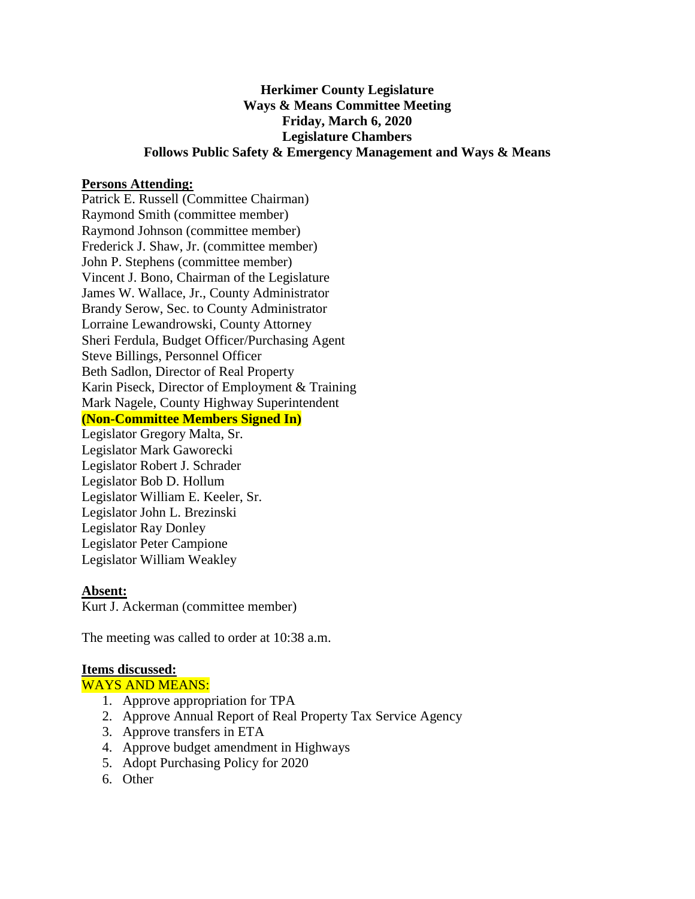# **Herkimer County Legislature Ways & Means Committee Meeting Friday, March 6, 2020 Legislature Chambers Follows Public Safety & Emergency Management and Ways & Means**

### **Persons Attending:**

Patrick E. Russell (Committee Chairman) Raymond Smith (committee member) Raymond Johnson (committee member) Frederick J. Shaw, Jr. (committee member) John P. Stephens (committee member) Vincent J. Bono, Chairman of the Legislature James W. Wallace, Jr., County Administrator Brandy Serow, Sec. to County Administrator Lorraine Lewandrowski, County Attorney Sheri Ferdula, Budget Officer/Purchasing Agent Steve Billings, Personnel Officer Beth Sadlon, Director of Real Property Karin Piseck, Director of Employment & Training Mark Nagele, County Highway Superintendent **(Non-Committee Members Signed In)**

Legislator Gregory Malta, Sr. Legislator Mark Gaworecki Legislator Robert J. Schrader Legislator Bob D. Hollum Legislator William E. Keeler, Sr. Legislator John L. Brezinski Legislator Ray Donley Legislator Peter Campione Legislator William Weakley

#### **Absent:**

Kurt J. Ackerman (committee member)

The meeting was called to order at 10:38 a.m.

#### **Items discussed:**

WAYS AND MEANS:

- 1. Approve appropriation for TPA
- 2. Approve Annual Report of Real Property Tax Service Agency
- 3. Approve transfers in ETA
- 4. Approve budget amendment in Highways
- 5. Adopt Purchasing Policy for 2020
- 6. Other